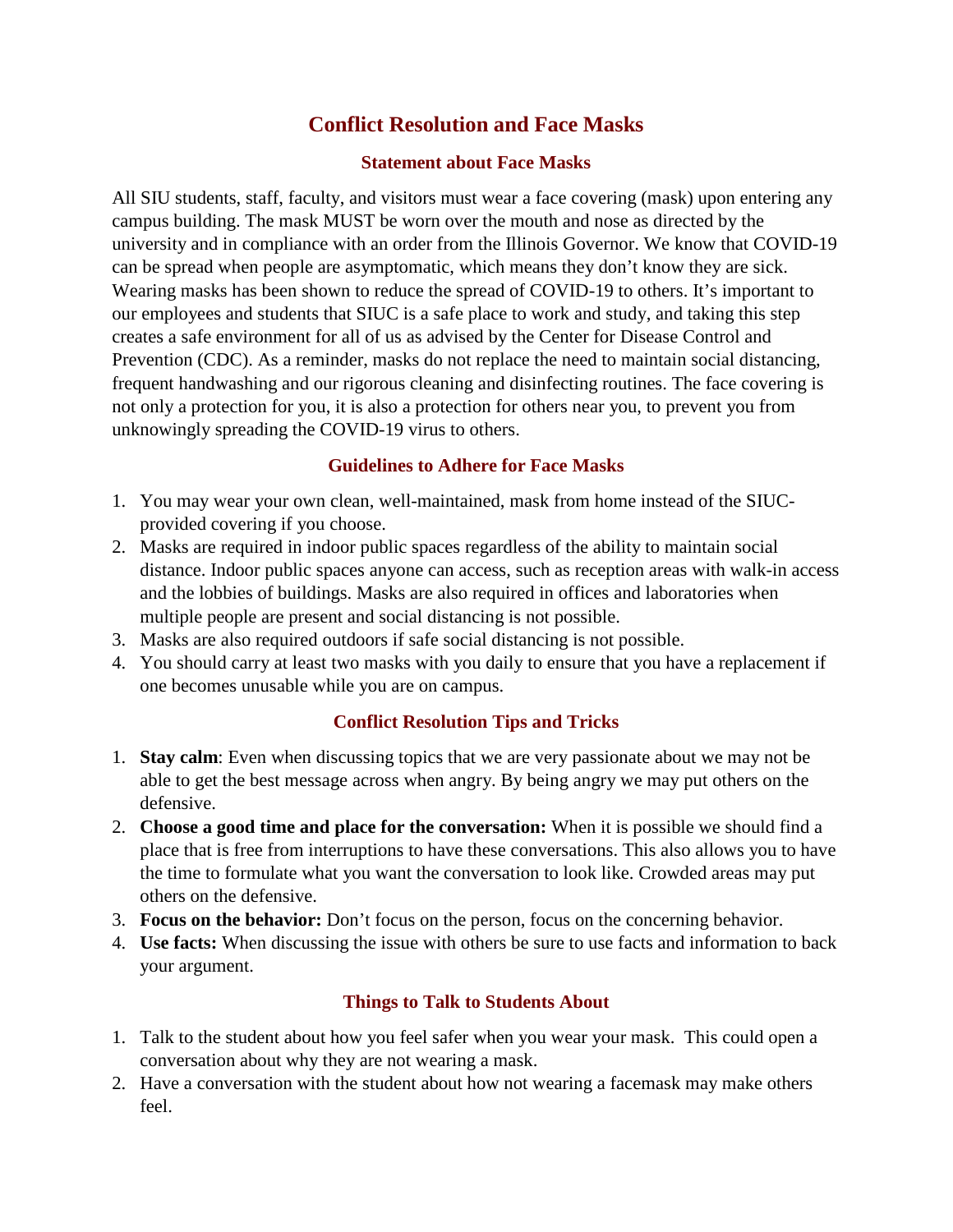# **Conflict Resolution and Face Masks**

## **Statement about Face Masks**

All SIU students, staff, faculty, and visitors must wear a face covering (mask) upon entering any campus building. The mask MUST be worn over the mouth and nose as directed by the university and in compliance with an order from the Illinois Governor. We know that COVID-19 can be spread when people are asymptomatic, which means they don't know they are sick. Wearing masks has been shown to reduce the spread of COVID-19 to others. It's important to our employees and students that SIUC is a safe place to work and study, and taking this step creates a safe environment for all of us as advised by the Center for Disease Control and Prevention (CDC). As a reminder, masks do not replace the need to maintain social distancing, frequent handwashing and our rigorous cleaning and disinfecting routines. The face covering is not only a protection for you, it is also a protection for others near you, to prevent you from unknowingly spreading the COVID-19 virus to others.

## **Guidelines to Adhere for Face Masks**

- 1. You may wear your own clean, well-maintained, mask from home instead of the SIUCprovided covering if you choose.
- 2. Masks are required in indoor public spaces regardless of the ability to maintain social distance. Indoor public spaces anyone can access, such as reception areas with walk-in access and the lobbies of buildings. Masks are also required in offices and laboratories when multiple people are present and social distancing is not possible.
- 3. Masks are also required outdoors if safe social distancing is not possible.
- 4. You should carry at least two masks with you daily to ensure that you have a replacement if one becomes unusable while you are on campus.

### **Conflict Resolution Tips and Tricks**

- 1. **Stay calm**: Even when discussing topics that we are very passionate about we may not be able to get the best message across when angry. By being angry we may put others on the defensive.
- 2. **Choose a good time and place for the conversation:** When it is possible we should find a place that is free from interruptions to have these conversations. This also allows you to have the time to formulate what you want the conversation to look like. Crowded areas may put others on the defensive.
- 3. **Focus on the behavior:** Don't focus on the person, focus on the concerning behavior.
- 4. **Use facts:** When discussing the issue with others be sure to use facts and information to back your argument.

# **Things to Talk to Students About**

- 1. Talk to the student about how you feel safer when you wear your mask. This could open a conversation about why they are not wearing a mask.
- 2. Have a conversation with the student about how not wearing a facemask may make others feel.